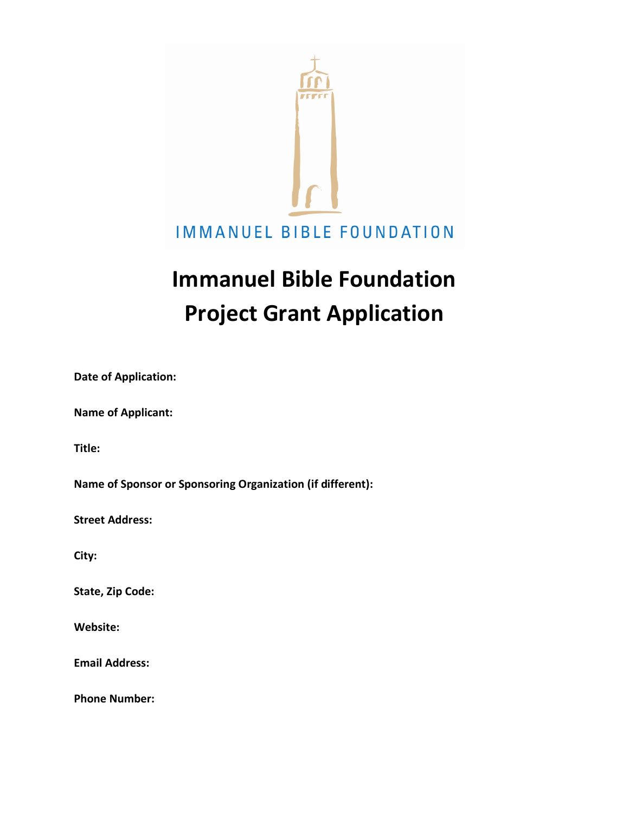

# **Immanuel Bible Foundation Project Grant Application**

**Date of Application:**

**Name of Applicant:**

**Title:**

**Name of Sponsor or Sponsoring Organization (if different):**

**Street Address:**

**City:**

**State, Zip Code:**

**Website:**

**Email Address:**

**Phone Number:**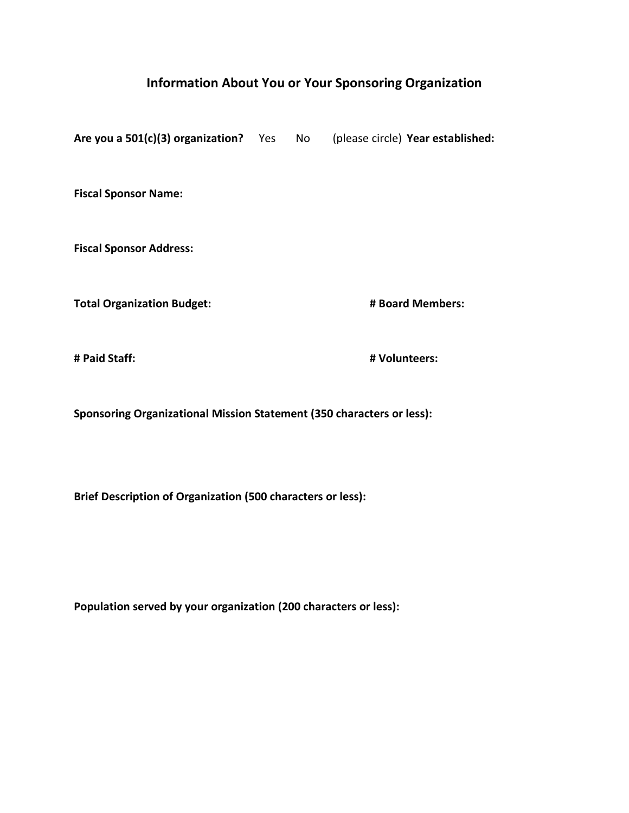## **Information About You or Your Sponsoring Organization**

**Are you a 501(c)(3) organization?** Yes No (please circle) **Year established: Fiscal Sponsor Name: Fiscal Sponsor Address: Total Organization Budget: # Board Members: # Paid Staff: # Volunteers:**

**Sponsoring Organizational Mission Statement (350 characters or less):**

**Brief Description of Organization (500 characters or less):**

**Population served by your organization (200 characters or less):**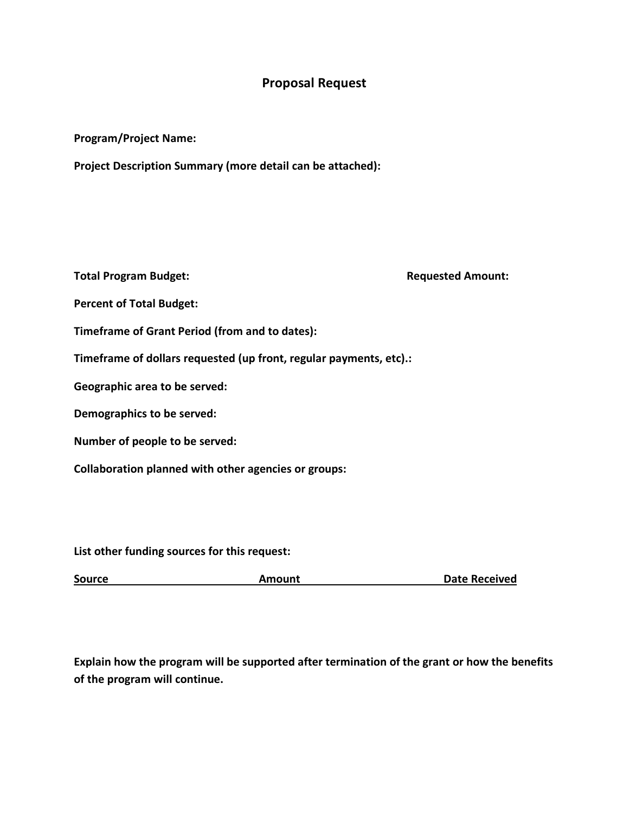## **Proposal Request**

#### **Program/Project Name:**

**Project Description Summary (more detail can be attached):**

**Total Program Budget: Requested Amount: Requested Amount: Percent of Total Budget: Timeframe of Grant Period (from and to dates):**

**Timeframe of dollars requested (up front, regular payments, etc).:**

**Geographic area to be served:**

**Demographics to be served:**

**Number of people to be served:**

**Collaboration planned with other agencies or groups:**

**List other funding sources for this request:**

**Source Amount Amount Date Received** 

**Explain how the program will be supported after termination of the grant or how the benefits of the program will continue.**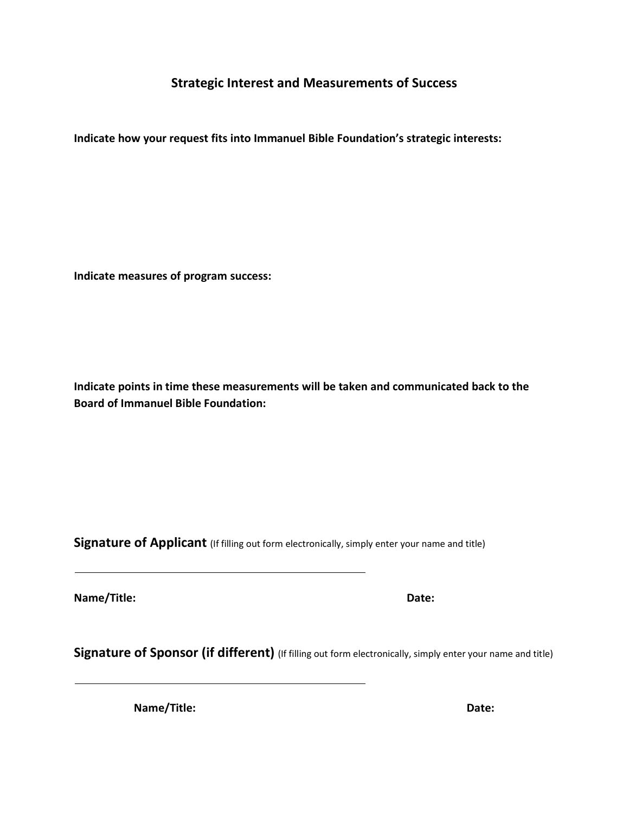## **Strategic Interest and Measurements of Success**

**Indicate how your request fits into Immanuel Bible Foundation's strategic interests:**

**Indicate measures of program success:**

**Indicate points in time these measurements will be taken and communicated back to the Board of Immanuel Bible Foundation:**

**Signature of Applicant** (If filling out form electronically, simply enter your name and title)

**Name/Title: Date:**

**Signature of Sponsor (if different)** (If filling out form electronically, simply enter your name and title)

**Name/Title: Date:**